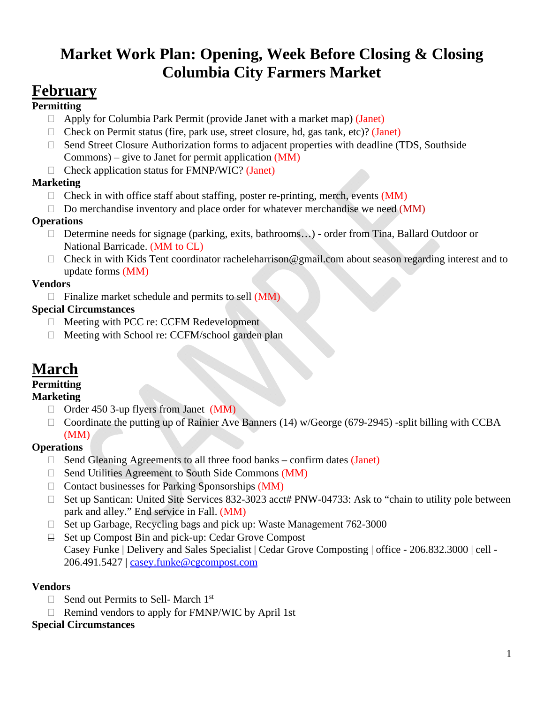# **Market Work Plan: Opening, Week Before Closing & Closing Columbia City Farmers Market**

# **February**

## **Permitting**

- $\Box$  Apply for Columbia Park Permit (provide Janet with a market map) (Janet)
- $\Box$  Check on Permit status (fire, park use, street closure, hd, gas tank, etc)? (Janet)
- □ Send Street Closure Authorization forms to adjacent properties with deadline (TDS, Southside Commons) – give to Janet for permit application (MM)
- $\Box$  Check application status for FMNP/WIC? (Janet)

## **Marketing**

- $\Box$  Check in with office staff about staffing, poster re-printing, merch, events (MM)
- $\Box$  Do merchandise inventory and place order for whatever merchandise we need (MM)

### **Operations**

- □ Determine needs for signage (parking, exits, bathrooms...) order from Tina, Ballard Outdoor or National Barricade. (MM to CL)
- $\Box$  Check in with Kids Tent coordinator racheleharrison@gmail.com about season regarding interest and to update forms (MM)

## **Vendors**

 $\Box$  Finalize market schedule and permits to sell (MM)

## **Special Circumstances**

- □ Meeting with PCC re: CCFM Redevelopment
- $\Box$  Meeting with School re: CCFM/school garden plan

# **March**

# **Permitting**

### **Marketing**

- $\Box$  Order 450 3-up flyers from Janet (MM)
- $\Box$  Coordinate the putting up of Rainier Ave Banners (14) w/George (679-2945) -split billing with CCBA (MM)

# **Operations**

- $\Box$  Send Gleaning Agreements to all three food banks confirm dates (Janet)
- $\Box$  Send Utilities Agreement to South Side Commons (MM)
- $\Box$  Contact businesses for Parking Sponsorships (MM)
- □ Set up Santican: United Site Services 832-3023 acct# PNW-04733: Ask to "chain to utility pole between park and alley." End service in Fall. (MM)
- $\Box$  Set up Garbage, Recycling bags and pick up: Waste Management 762-3000
- $\Box$  Set up Compost Bin and pick-up: Cedar Grove Compost Casey Funke | Delivery and Sales Specialist | Cedar Grove Composting | office - 206.832.3000 | cell - 206.491.5427 | casey.funke@cgcompost.com

### **Vendors**

- $\Box$  Send out Permits to Sell- March 1<sup>st</sup>
- $\Box$  Remind vendors to apply for FMNP/WIC by April 1st

### **Special Circumstances**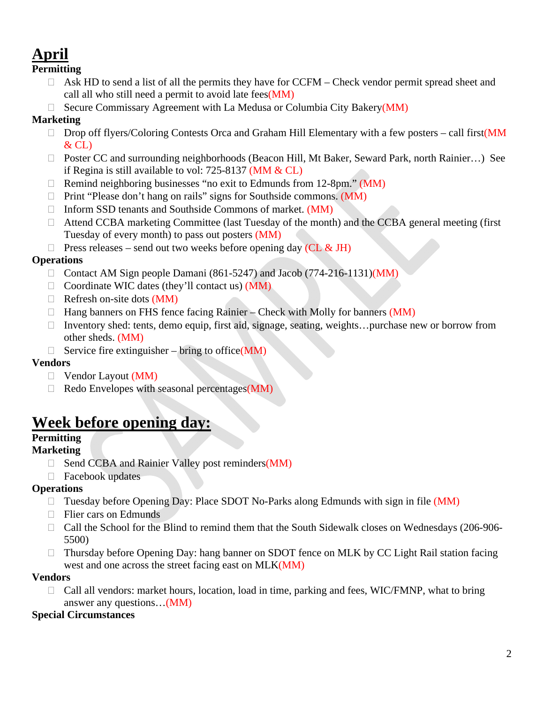# **April**

#### **Permitting**

- $\Box$  Ask HD to send a list of all the permits they have for CCFM Check vendor permit spread sheet and call all who still need a permit to avoid late fees(MM)
- $\Box$  Secure Commissary Agreement with La Medusa or Columbia City Bakery(MM)

# **Marketing**

- $\Box$  Drop off flyers/Coloring Contests Orca and Graham Hill Elementary with a few posters call first(MM  $&$  CL)
- □ Poster CC and surrounding neighborhoods (Beacon Hill, Mt Baker, Seward Park, north Rainier...) See if Regina is still available to vol: 725-8137 (MM & CL)
- $\Box$  Remind neighboring businesses "no exit to Edmunds from 12-8pm." (MM)
- $\Box$  Print "Please don't hang on rails" signs for Southside commons. (MM)
- $\Box$  Inform SSD tenants and Southside Commons of market. (MM)
- □ Attend CCBA marketing Committee (last Tuesday of the month) and the CCBA general meeting (first Tuesday of every month) to pass out posters (MM)
- $\Box$  Press releases send out two weeks before opening day (CL & JH)

# **Operations**

- □ Contact AM Sign people Damani (861-5247) and Jacob (774-216-1131)(MM)
- $\Box$  Coordinate WIC dates (they'll contact us) (MM)
- $\Box$  Refresh on-site dots (MM)
- $\Box$  Hang banners on FHS fence facing Rainier Check with Molly for banners (MM)
- □ Inventory shed: tents, demo equip, first aid, signage, seating, weights…purchase new or borrow from other sheds. (MM)
- $\Box$  Service fire extinguisher bring to office(MM)

# **Vendors**

- $\Box$  Vendor Layout (MM)
- $\Box$  Redo Envelopes with seasonal percentages (MM)

# **Week before opening day:**

# **Permitting**

### **Marketing**

- $\Box$  Send CCBA and Rainier Valley post reminders(MM)
- □ Facebook updates

# **Operations**

- $\Box$  Tuesday before Opening Day: Place SDOT No-Parks along Edmunds with sign in file (MM)
- □ Flier cars on Edmunds
- □ Call the School for the Blind to remind them that the South Sidewalk closes on Wednesdays (206-906-5500)
- □ Thursday before Opening Day: hang banner on SDOT fence on MLK by CC Light Rail station facing west and one across the street facing east on MLK(MM)

### **Vendors**

□ Call all vendors: market hours, location, load in time, parking and fees, WIC/FMNP, what to bring answer any questions…(MM)

### **Special Circumstances**